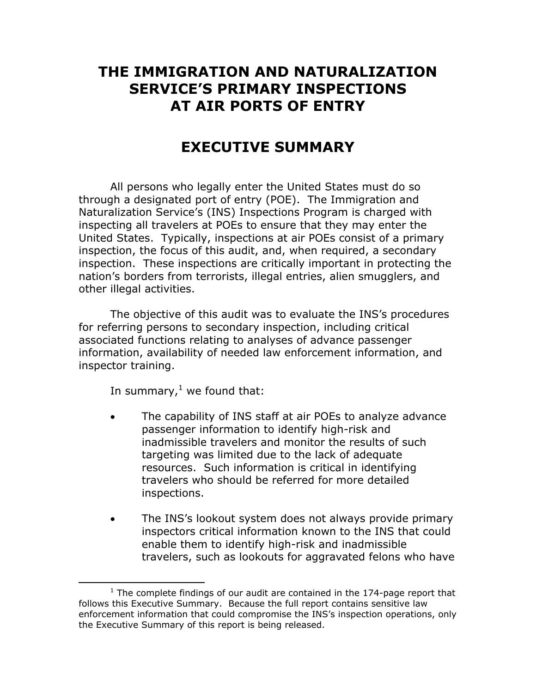# **THE IMMIGRATION AND NATURALIZATION SERVICE'S PRIMARY INSPECTIONS AT AIR PORTS OF ENTRY**

# **EXECUTIVE SUMMARY**

 All persons who legally enter the United States must do so through a designated port of entry (POE). The Immigration and Naturalization Service's (INS) Inspections Program is charged with inspecting all travelers at POEs to ensure that they may enter the United States. Typically, inspections at air POEs consist of a primary inspection, the focus of this audit, and, when required, a secondary inspection. These inspections are critically important in protecting the nation's borders from terrorists, illegal entries, alien smugglers, and other illegal activities.

The objective of this audit was to evaluate the INS's procedures for referring persons to secondary inspection, including critical associated functions relating to analyses of advance passenger information, availability of needed law enforcement information, and inspector training.

In summary, $^{1}$  $^{1}$  $^{1}$  we found that:

 $\overline{a}$ 

- The capability of INS staff at air POEs to analyze advance passenger information to identify high-risk and inadmissible travelers and monitor the results of such targeting was limited due to the lack of adequate resources. Such information is critical in identifying travelers who should be referred for more detailed inspections.
- The INS's lookout system does not always provide primary inspectors critical information known to the INS that could enable them to identify high-risk and inadmissible travelers, such as lookouts for aggravated felons who have

<span id="page-0-0"></span> $1$  The complete findings of our audit are contained in the 174-page report that follows this Executive Summary. Because the full report contains sensitive law enforcement information that could compromise the INS's inspection operations, only the Executive Summary of this report is being released.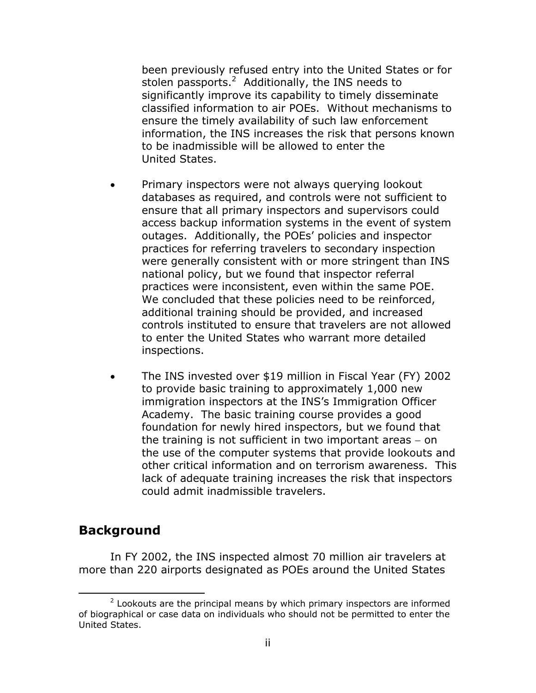been previously refused entry into the United States or for stolen passports.<sup>[2](#page-1-0)</sup> Additionally, the INS needs to significantly improve its capability to timely disseminate classified information to air POEs. Without mechanisms to ensure the timely availability of such law enforcement information, the INS increases the risk that persons known to be inadmissible will be allowed to enter the United States.

- Primary inspectors were not always querying lookout databases as required, and controls were not sufficient to ensure that all primary inspectors and supervisors could access backup information systems in the event of system outages. Additionally, the POEs' policies and inspector practices for referring travelers to secondary inspection were generally consistent with or more stringent than INS national policy, but we found that inspector referral practices were inconsistent, even within the same POE. We concluded that these policies need to be reinforced, additional training should be provided, and increased controls instituted to ensure that travelers are not allowed to enter the United States who warrant more detailed inspections.
- The INS invested over \$19 million in Fiscal Year (FY) 2002 to provide basic training to approximately 1,000 new immigration inspectors at the INS's Immigration Officer Academy. The basic training course provides a good foundation for newly hired inspectors, but we found that the training is not sufficient in two important areas − on the use of the computer systems that provide lookouts and other critical information and on terrorism awareness. This lack of adequate training increases the risk that inspectors could admit inadmissible travelers.

### **Background**

 $\overline{a}$ 

In FY 2002, the INS inspected almost 70 million air travelers at more than 220 airports designated as POEs around the United States

<span id="page-1-0"></span> $2$  Lookouts are the principal means by which primary inspectors are informed of biographical or case data on individuals who should not be permitted to enter the United States.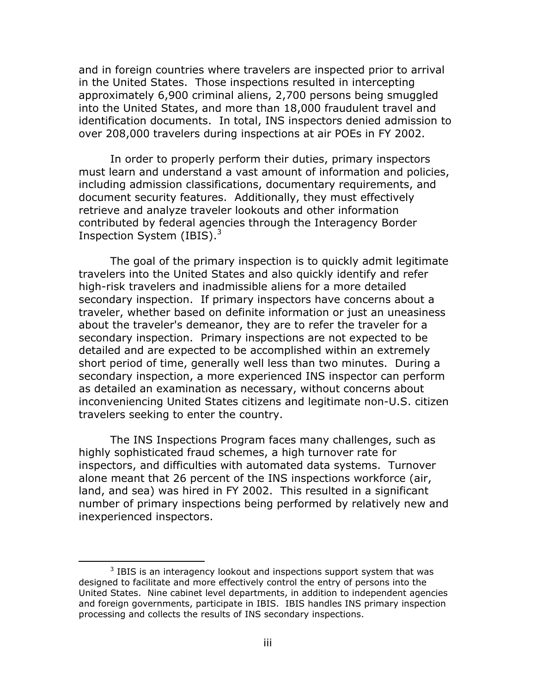and in foreign countries where travelers are inspected prior to arrival in the United States. Those inspections resulted in intercepting approximately 6,900 criminal aliens, 2,700 persons being smuggled into the United States, and more than 18,000 fraudulent travel and identification documents. In total, INS inspectors denied admission to over 208,000 travelers during inspections at air POEs in FY 2002.

In order to properly perform their duties, primary inspectors must learn and understand a vast amount of information and policies, including admission classifications, documentary requirements, and document security features. Additionally, they must effectively retrieve and analyze traveler lookouts and other information contributed by federal agencies through the Interagency Border Inspection System (IBIS). $3$ 

The goal of the primary inspection is to quickly admit legitimate travelers into the United States and also quickly identify and refer high-risk travelers and inadmissible aliens for a more detailed secondary inspection. If primary inspectors have concerns about a traveler, whether based on definite information or just an uneasiness about the traveler's demeanor, they are to refer the traveler for a secondary inspection. Primary inspections are not expected to be detailed and are expected to be accomplished within an extremely short period of time, generally well less than two minutes. During a secondary inspection, a more experienced INS inspector can perform as detailed an examination as necessary, without concerns about inconveniencing United States citizens and legitimate non-U.S. citizen travelers seeking to enter the country.

The INS Inspections Program faces many challenges, such as highly sophisticated fraud schemes, a high turnover rate for inspectors, and difficulties with automated data systems. Turnover alone meant that 26 percent of the INS inspections workforce (air, land, and sea) was hired in FY 2002. This resulted in a significant number of primary inspections being performed by relatively new and inexperienced inspectors.

 $\overline{a}$ 

<span id="page-2-0"></span> $3$  IBIS is an interagency lookout and inspections support system that was designed to facilitate and more effectively control the entry of persons into the United States. Nine cabinet level departments, in addition to independent agencies and foreign governments, participate in IBIS. IBIS handles INS primary inspection processing and collects the results of INS secondary inspections.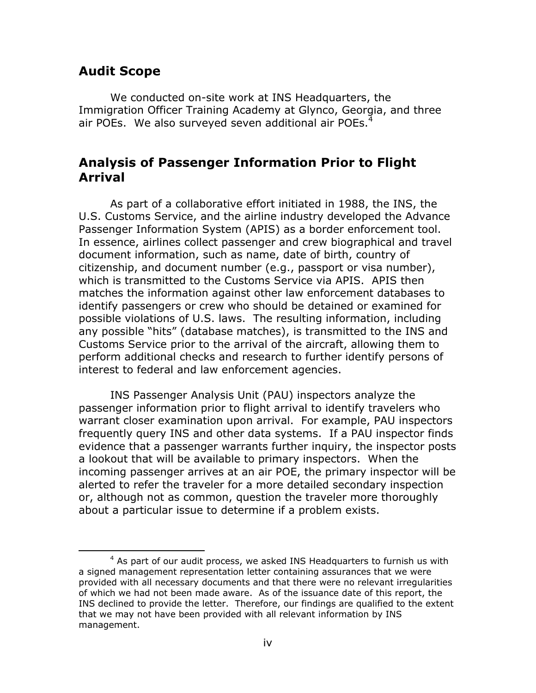## **Audit Scope**

<span id="page-3-0"></span> $\overline{a}$ 

We conducted on-site work at INS Headquarters, the Immigration Officer Training Academy at Glynco, Georgia, and three air POEs. We also surveyed seven additional air POEs.<sup>[4](#page-3-0)</sup>

## **Analysis of Passenger Information Prior to Flight Arrival**

As part of a collaborative effort initiated in 1988, the INS, the U.S. Customs Service, and the airline industry developed the Advance Passenger Information System (APIS) as a border enforcement tool. In essence, airlines collect passenger and crew biographical and travel document information, such as name, date of birth, country of citizenship, and document number (e.g., passport or visa number), which is transmitted to the Customs Service via APIS. APIS then matches the information against other law enforcement databases to identify passengers or crew who should be detained or examined for possible violations of U.S. laws. The resulting information, including any possible "hits" (database matches), is transmitted to the INS and Customs Service prior to the arrival of the aircraft, allowing them to perform additional checks and research to further identify persons of interest to federal and law enforcement agencies.

INS Passenger Analysis Unit (PAU) inspectors analyze the passenger information prior to flight arrival to identify travelers who warrant closer examination upon arrival. For example, PAU inspectors frequently query INS and other data systems. If a PAU inspector finds evidence that a passenger warrants further inquiry, the inspector posts a lookout that will be available to primary inspectors. When the incoming passenger arrives at an air POE, the primary inspector will be alerted to refer the traveler for a more detailed secondary inspection or, although not as common, question the traveler more thoroughly about a particular issue to determine if a problem exists.

 $4$  As part of our audit process, we asked INS Headquarters to furnish us with a signed management representation letter containing assurances that we were provided with all necessary documents and that there were no relevant irregularities of which we had not been made aware. As of the issuance date of this report, the INS declined to provide the letter. Therefore, our findings are qualified to the extent that we may not have been provided with all relevant information by INS management.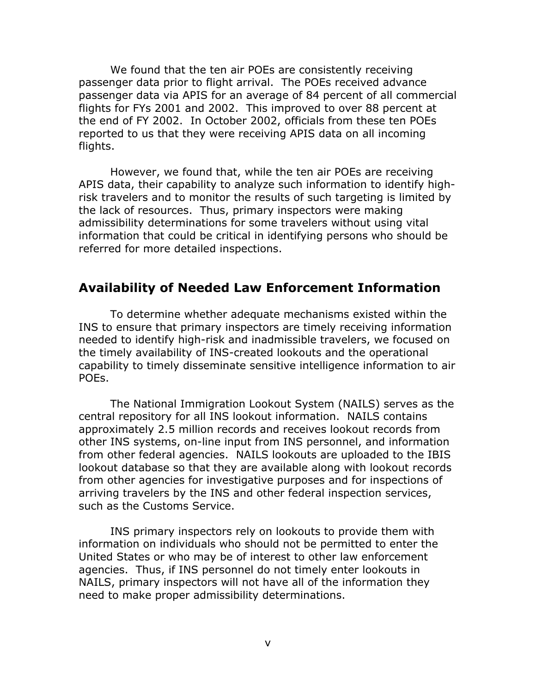We found that the ten air POEs are consistently receiving passenger data prior to flight arrival. The POEs received advance passenger data via APIS for an average of 84 percent of all commercial flights for FYs 2001 and 2002. This improved to over 88 percent at the end of FY 2002. In October 2002, officials from these ten POEs reported to us that they were receiving APIS data on all incoming flights.

However, we found that, while the ten air POEs are receiving APIS data, their capability to analyze such information to identify highrisk travelers and to monitor the results of such targeting is limited by the lack of resources. Thus, primary inspectors were making admissibility determinations for some travelers without using vital information that could be critical in identifying persons who should be referred for more detailed inspections.

### **Availability of Needed Law Enforcement Information**

To determine whether adequate mechanisms existed within the INS to ensure that primary inspectors are timely receiving information needed to identify high-risk and inadmissible travelers, we focused on the timely availability of INS-created lookouts and the operational capability to timely disseminate sensitive intelligence information to air POEs.

The National Immigration Lookout System (NAILS) serves as the central repository for all INS lookout information. NAILS contains approximately 2.5 million records and receives lookout records from other INS systems, on-line input from INS personnel, and information from other federal agencies. NAILS lookouts are uploaded to the IBIS lookout database so that they are available along with lookout records from other agencies for investigative purposes and for inspections of arriving travelers by the INS and other federal inspection services, such as the Customs Service.

INS primary inspectors rely on lookouts to provide them with information on individuals who should not be permitted to enter the United States or who may be of interest to other law enforcement agencies. Thus, if INS personnel do not timely enter lookouts in NAILS, primary inspectors will not have all of the information they need to make proper admissibility determinations.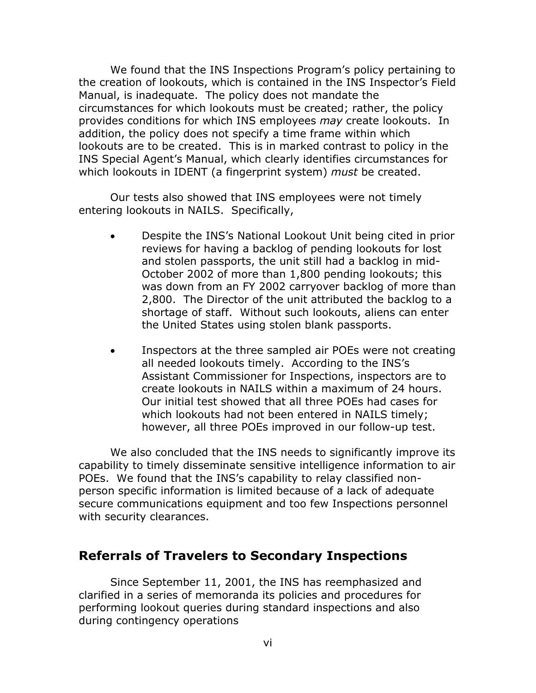We found that the INS Inspections Program's policy pertaining to the creation of lookouts, which is contained in the INS Inspector's Field Manual, is inadequate. The policy does not mandate the circumstances for which lookouts must be created; rather, the policy provides conditions for which INS employees *may* create lookouts. In addition, the policy does not specify a time frame within which lookouts are to be created. This is in marked contrast to policy in the INS Special Agent's Manual, which clearly identifies circumstances for which lookouts in IDENT (a fingerprint system) *must* be created.

Our tests also showed that INS employees were not timely entering lookouts in NAILS. Specifically,

- Despite the INS's National Lookout Unit being cited in prior reviews for having a backlog of pending lookouts for lost and stolen passports, the unit still had a backlog in mid-October 2002 of more than 1,800 pending lookouts; this was down from an FY 2002 carryover backlog of more than 2,800. The Director of the unit attributed the backlog to a shortage of staff. Without such lookouts, aliens can enter the United States using stolen blank passports.
- Inspectors at the three sampled air POEs were not creating all needed lookouts timely. According to the INS's Assistant Commissioner for Inspections, inspectors are to create lookouts in NAILS within a maximum of 24 hours. Our initial test showed that all three POEs had cases for which lookouts had not been entered in NAILS timely; however, all three POEs improved in our follow-up test.

We also concluded that the INS needs to significantly improve its capability to timely disseminate sensitive intelligence information to air POEs. We found that the INS's capability to relay classified nonperson specific information is limited because of a lack of adequate secure communications equipment and too few Inspections personnel with security clearances.

### **Referrals of Travelers to Secondary Inspections**

Since September 11, 2001, the INS has reemphasized and clarified in a series of memoranda its policies and procedures for performing lookout queries during standard inspections and also during contingency operations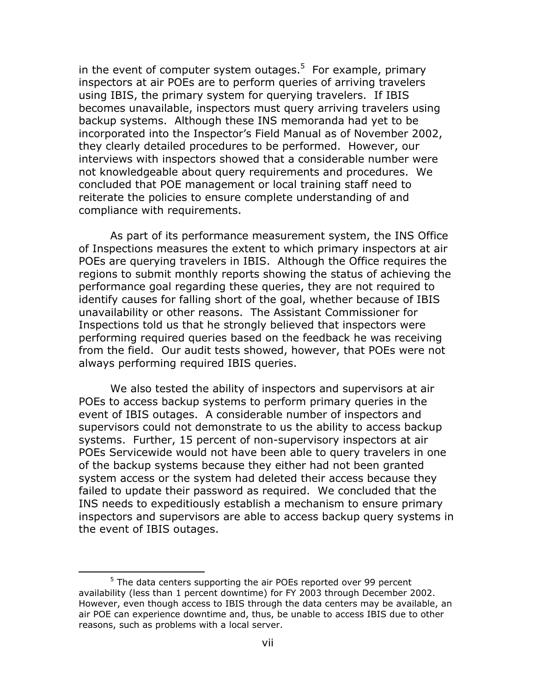in the event of computer system outages.<sup>[5](#page-6-0)</sup> For example, primary inspectors at air POEs are to perform queries of arriving travelers using IBIS, the primary system for querying travelers. If IBIS becomes unavailable, inspectors must query arriving travelers using backup systems. Although these INS memoranda had yet to be incorporated into the Inspector's Field Manual as of November 2002, they clearly detailed procedures to be performed. However, our interviews with inspectors showed that a considerable number were not knowledgeable about query requirements and procedures. We concluded that POE management or local training staff need to reiterate the policies to ensure complete understanding of and compliance with requirements.

As part of its performance measurement system, the INS Office of Inspections measures the extent to which primary inspectors at air POEs are querying travelers in IBIS. Although the Office requires the regions to submit monthly reports showing the status of achieving the performance goal regarding these queries, they are not required to identify causes for falling short of the goal, whether because of IBIS unavailability or other reasons. The Assistant Commissioner for Inspections told us that he strongly believed that inspectors were performing required queries based on the feedback he was receiving from the field. Our audit tests showed, however, that POEs were not always performing required IBIS queries.

We also tested the ability of inspectors and supervisors at air POEs to access backup systems to perform primary queries in the event of IBIS outages. A considerable number of inspectors and supervisors could not demonstrate to us the ability to access backup systems. Further, 15 percent of non-supervisory inspectors at air POEs Servicewide would not have been able to query travelers in one of the backup systems because they either had not been granted system access or the system had deleted their access because they failed to update their password as required. We concluded that the INS needs to expeditiously establish a mechanism to ensure primary inspectors and supervisors are able to access backup query systems in the event of IBIS outages.

<span id="page-6-0"></span> $\overline{a}$ 

 $5$  The data centers supporting the air POEs reported over 99 percent availability (less than 1 percent downtime) for FY 2003 through December 2002. However, even though access to IBIS through the data centers may be available, an air POE can experience downtime and, thus, be unable to access IBIS due to other reasons, such as problems with a local server.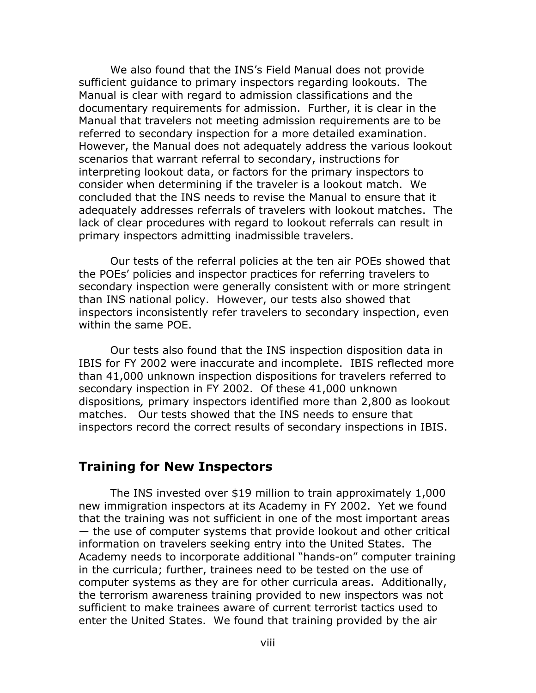We also found that the INS's Field Manual does not provide sufficient guidance to primary inspectors regarding lookouts. The Manual is clear with regard to admission classifications and the documentary requirements for admission. Further, it is clear in the Manual that travelers not meeting admission requirements are to be referred to secondary inspection for a more detailed examination. However, the Manual does not adequately address the various lookout scenarios that warrant referral to secondary, instructions for interpreting lookout data, or factors for the primary inspectors to consider when determining if the traveler is a lookout match. We concluded that the INS needs to revise the Manual to ensure that it adequately addresses referrals of travelers with lookout matches. The lack of clear procedures with regard to lookout referrals can result in primary inspectors admitting inadmissible travelers.

Our tests of the referral policies at the ten air POEs showed that the POEs' policies and inspector practices for referring travelers to secondary inspection were generally consistent with or more stringent than INS national policy. However, our tests also showed that inspectors inconsistently refer travelers to secondary inspection, even within the same POE.

Our tests also found that the INS inspection disposition data in IBIS for FY 2002 were inaccurate and incomplete. IBIS reflected more than 41,000 unknown inspection dispositions for travelers referred to secondary inspection in FY 2002. Of these 41,000 unknown dispositions*,* primary inspectors identified more than 2,800 as lookout matches. Our tests showed that the INS needs to ensure that inspectors record the correct results of secondary inspections in IBIS.

#### **Training for New Inspectors**

The INS invested over \$19 million to train approximately 1,000 new immigration inspectors at its Academy in FY 2002. Yet we found that the training was not sufficient in one of the most important areas — the use of computer systems that provide lookout and other critical information on travelers seeking entry into the United States. The Academy needs to incorporate additional "hands-on" computer training in the curricula; further, trainees need to be tested on the use of computer systems as they are for other curricula areas. Additionally, the terrorism awareness training provided to new inspectors was not sufficient to make trainees aware of current terrorist tactics used to enter the United States. We found that training provided by the air